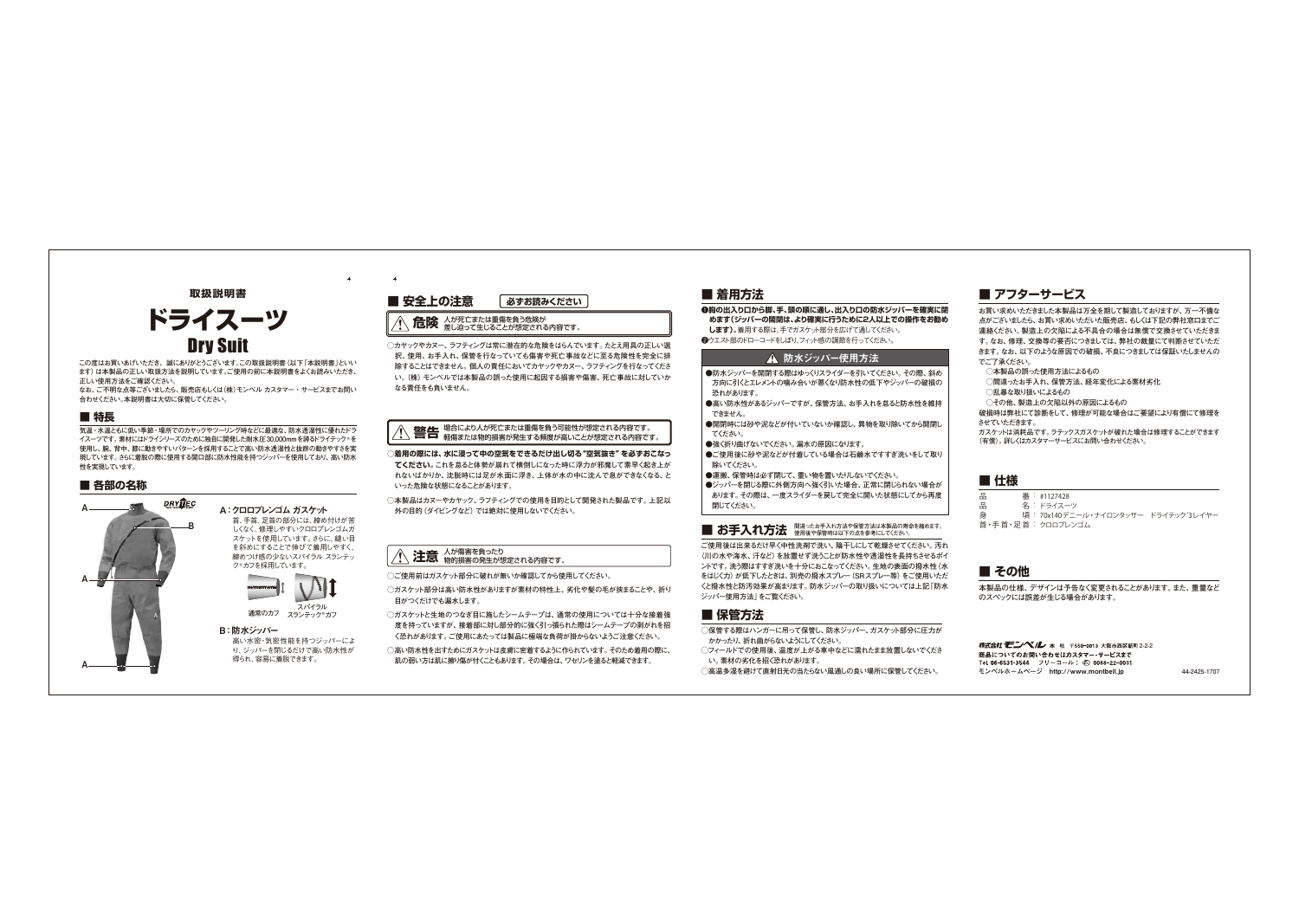### **■ その他**

### **■ 仕様**

### **■ アフターサービス**

**お買い求めいただきました本製品は万全を期して製造しておりますが、万一不備な 点がございましたら、お買い求めいただいた販売店、もしくは下記の弊社窓口までご 連絡ください。製造上の欠陥による不具合の場合は無償で交換させていただきま す。なお、修理、交換等の要否につきましては、弊社の裁量にて判断させていただ きます。なお、以下のような原因での破損、不良につきましては保証いたしませんの でご了承ください。**

品 番 : #1127428 品 名 : ドライスーツ 身 頃: 70x140デニール・ナイロンタッサー ドライテック°3レイヤー 首・手首・足首: クロロプレンゴム

- **○本製品の誤った使用方法によるもの**
- **○間違ったお手入れ、保管方法、経年変化による素材劣化**
- **○乱暴な取り扱いによるもの**
- **○その他、製造上の欠陥以外の原因によるもの**

**破損時は弊社にて診断をして、修理が可能な場合はご要望により有償にて修理を させていただきます。**

**ガスケットは消耗品です。ラテックスガスケットが破れた場合は修理することができます (有償)。詳しくはカスタマーサービスにお問い合わせください。**

**本製品の仕様、デザインは予告なく変更されることがあります。また、重量など のスペックには誤差が生じる場合があります。**

**株式会社 モンペ/レ** 本 社 〒550-0013 大阪市西区新町2-2-2 商品についてのお問い合わせはカスタマー・サービスまで Tel. 06-6531-3544 フリーコール: © 0088-22-0031 モンベルホームページ http://www.montbell.jp 44-2425-1707

❶**胸の出入り口から脚、手、頭の順に通し、出入り口の防水ジッパーを確実に閉 めます(ジッパーの開閉は、より確実に行うために2人以上での操作をお勧め します)。**着用する際は、手でガスケット部分を広げて通してください。

●ウエスト部のドローコードをしぼり、フィット感の調節を行ってください。

### ▲ 防水ジッパー使用方法

### **■ 着用方法**

**○カヤックやカヌー、ラフティングは常に潜在的な危険をはらんでいます。たとえ用具の正しい選 択、使用、お手入れ、保管を行なっていても傷害や死亡事故などに至る危険性を完全に排 除することはできません。個人の責任においてカヤックやカヌー、ラフティングを行なってくださ い。(株)モンベルでは本製品の誤った使用に起因する損害や傷害、死亡事故に対していか なる責任をも負いません。**

# **警告 生** 場合により人が死亡または重傷を負う可能性が想定される内容です。<br>**言言 ロ** 軽傷または物的損害が発生する頻度が高いことが想定される内容です。

### **■ 安全上の注意 必ずお読みください**

# **危険** 人が死亡または重傷を負う危険が 差し迫って生じることが想定される内容です。

**○着用の際には、水に浸って中の空気をできるだけ出し切る"空気抜き"を必ずおこなっ てください。これを怠ると体勢が崩れて横倒しになった時に浮力が邪魔して素早く起き上が れないばかりか、沈脱時には足が水面に浮き、上体が水の中に沈んで息ができなくなる、と いった危険な状態になることがあります。**

**○本製品はカヌーやカヤック、ラフティングでの使用を目的として開発された製品です。上記以 外の目的(ダイビングなど)では絶対に使用しないでください。**

**○ご使用前はガスケット部分に破れが無いか確認してから使用してください。**

**│ ●防水ジッパーを開閉する際はゆっくりスライダーを引いてください。その際、斜め 方向に引くとエレメントの噛み合いが悪くなり防水性の低下やジッパーの破損の 恐れがあります。**

- **●高い防水性があるジッパーですが、保管方法、お手入れを怠ると防水性を維持 できません。**
- **●開閉時には砂や泥などが付いていないか確認し、異物を取り除いてから開閉し てください。**
- **●強く折り曲げないでください。漏水の原因になります。**
- **●ご使用後に砂や泥などが付着している場合は石鹸水ですすぎ洗いをして取り 除いてください。**
- **●運搬、保管時は必ず閉じて、重い物を置いたりしないでください。**
- **●ジッパーを閉じる際に外側方向へ強く引いた場合、正常に閉じられない場合が あります。その際は、一度スライダーを戻して完全に開いた状態にしてから再度 閉じてください。**

- **○ガスケット部分は高い防水性がありますが素材の特性上、劣化や髪の毛が挟まることや、折り 目がつくだけでも漏水します。**
- **○ガスケットと生地のつなぎ目に施したシームテープは、通常の使用については十分な接着強 度を持っていますが、接着部に対し部分的に強く引っ張られた際はシームテープの剥がれを招 く恐れがあります。ご使用にあたっては製品に極端な負荷が掛からないようご注意ください。**
- **○高い防水性を出すためにガスケットは皮膚に密着するように作られています。そのため着用の際に、 肌の弱い方は肌に擦り傷が付くこともあります。その場合は、ワセリンを塗ると軽減できます。**

# **■ お手入れ方法** <sup>間違ったお手入れ方法や保管方法は本製品の寿命を縮めます。</sup>

### **■ 保管方法**

**◯保管する際はハンガーに吊って保管し、防水ジッパー、ガスケット部分に圧力が かかったり、折れ曲がらないようにしてください。**

- **◯フィールドでの使用後、温度が上がる車中などに濡れたまま放置しないでくださ い。素材の劣化を招く恐れがあります。**
- **◯高温多湿を避けて直射日光の当たらない風通しの良い場所に保管してください。**

# **注意** 人が傷害を負ったり 物的損害の発生が想定される内容です。

### **■ 特長**

### **■ 各部の名称**

**この度はお買いあげいただき、誠にありがとうございます。この取扱説明書(以下「本説明書」といい ます)は本製品の正しい取扱方法を説明しています。ご使用の前に本説明書をよくお読みいただき、 正しい使用方法をご確認ください。**

**なお、ご不明な点等ございましたら、販売店もしくは(株)モンベル カスタマー・サービスまでお問い 合わせください。本説明書は大切に保管してください。**

**気温・水温ともに低い季節・場所でのカヤックやツーリング時などに最適な、防水透湿性に優れたドラ イスーツです。素材にはドライシリーズのために独自に開発した耐水圧30,000mmを誇るドライテック®を 使用し、腕、背中、膝に動きやすいパターンを採用することで高い防水透湿性と抜群の動きやすさを実 現しています。さらに着脱の際に使用する開口部に防水性能を持つジッパーを使用しており、高い防水 性を実現しています。**

# ドライスーツ Dry Suit

A : クロロプレンゴム ガスケット 首、手首、足首の部分には、締め付けが苦 しくなく、修理しやすいクロロプレンゴムガ スケットを使用しています。さらに、縫い目 を斜めにすることで伸びて着用しやすく、 締めつけ感の少ないスパイラル スランテッ ク®カフを採用しています。



### B : 防水ジッパー

高い水密・気密性能を持つジッパーによ り、ジッパーを閉じるだけで高い防水性が 得られ、容易に着脱できます。

### **取扱説明書**



**ご使用後は出来るだけ早く中性洗剤で洗い、陰干しにして乾燥させてください。汚れ (川の水や海水、汗など)を放置せず洗うことが防水性や透湿性を長持ちさせるポイ ントです。洗う際はすすぎ洗いを十分におこなってください。生地の表面の撥水性(水 をはじく力)が低下したときは、別売の撥水スプレー(SRスプレー等)をご使用いただ くと撥水性と防汚効果が高まります。防水ジッパーの取り扱いについては上記「防水 ジッパー使用方法」をご覧ください。**

**スパイラル 通常のカフ スランテック®カフ**